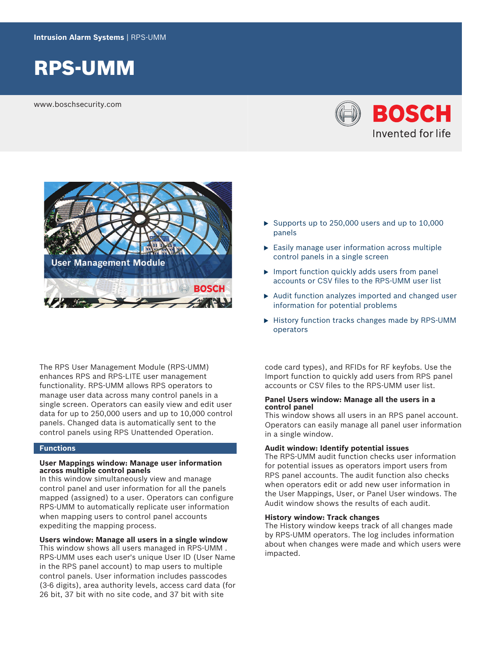

www.boschsecurity.com





The RPS User Management Module (RPS-UMM) enhances RPS and RPS-LITE user management functionality. RPS-UMM allows RPS operators to manage user data across many control panels in a single screen. Operators can easily view and edit user data for up to 250,000 users and up to 10,000 control panels. Changed data is automatically sent to the control panels using RPS Unattended Operation.

## **Functions**

### **User Mappings window: Manage user information across multiple control panels**

In this window simultaneously view and manage control panel and user information for all the panels mapped (assigned) to a user. Operators can configure RPS-UMM to automatically replicate user information when mapping users to control panel accounts expediting the mapping process.

## **Users window: Manage all users in a single window**

This window shows all users managed in RPS-UMM . RPS-UMM uses each user's unique User ID (User Name in the RPS panel account) to map users to multiple control panels. User information includes passcodes (3-6 digits), area authority levels, access card data (for 26 bit, 37 bit with no site code, and 37 bit with site

- $\blacktriangleright$  Supports up to 250,000 users and up to 10,000 panels
- $\blacktriangleright$  Easily manage user information across multiple control panels in a single screen
- $\triangleright$  Import function quickly adds users from panel accounts or CSV files to the RPS-UMM user list
- $\triangleright$  Audit function analyzes imported and changed user information for potential problems
- $\blacktriangleright$  History function tracks changes made by RPS-UMM operators

code card types), and RFIDs for RF keyfobs. Use the Import function to quickly add users from RPS panel accounts or CSV files to the RPS-UMM user list.

### **Panel Users window: Manage all the users in a control panel**

This window shows all users in an RPS panel account. Operators can easily manage all panel user information in a single window.

### **Audit window: Identify potential issues**

The RPS-UMM audit function checks user information for potential issues as operators import users from RPS panel accounts. The audit function also checks when operators edit or add new user information in the User Mappings, User, or Panel User windows. The Audit window shows the results of each audit.

## **History window: Track changes**

The History window keeps track of all changes made by RPS-UMM operators. The log includes information about when changes were made and which users were impacted.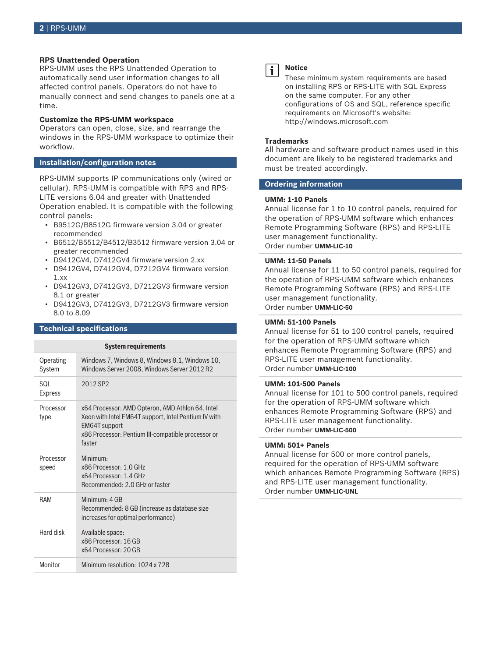### **RPS Unattended Operation**

RPS-UMM uses the RPS Unattended Operation to automatically send user information changes to all affected control panels. Operators do not have to manually connect and send changes to panels one at a time.

#### **Customize the RPS-UMM workspace**

Operators can open, close, size, and rearrange the windows in the RPS-UMM workspace to optimize their workflow.

#### **Installation/configuration notes**

RPS-UMM supports IP communications only (wired or cellular). RPS-UMM is compatible with RPS and RPS-LITE versions 6.04 and greater with Unattended Operation enabled. It is compatible with the following control panels:

- B9512G/B8512G firmware version 3.04 or greater recommended
- B6512/B5512/B4512/B3512 firmware version 3.04 or greater recommended
- D9412GV4, D7412GV4 firmware version 2.xx
- D9412GV4, D7412GV4, D7212GV4 firmware version 1.xx
- D9412GV3, D7412GV3, D7212GV3 firmware version 8.1 or greater
- D9412GV3, D7412GV3, D7212GV3 firmware version 8.0 to 8.09

### **Technical specifications**

| <b>System requirements</b> |                                                                                                                                                                                           |
|----------------------------|-------------------------------------------------------------------------------------------------------------------------------------------------------------------------------------------|
| Operating<br>System        | Windows 7, Windows 8, Windows 8.1, Windows 10,<br>Windows Server 2008, Windows Server 2012 R2                                                                                             |
| SQL<br><b>Express</b>      | 2012 SP <sub>2</sub>                                                                                                                                                                      |
| Processor<br>type          | x64 Processor: AMD Opteron, AMD Athlon 64, Intel<br>Xeon with Intel EM64T support, Intel Pentium IV with<br>EM64T support<br>x86 Processor: Pentium III-compatible processor or<br>faster |
| Processor<br>speed         | Minimum·<br>x86 Processor: 1.0 GHz<br>x64 Processor: 1.4 GHz<br>Recommended: 2.0 GHz or faster                                                                                            |
| RAM                        | Minimum: 4 GB<br>Recommended: 8 GB (increase as database size<br>increases for optimal performance)                                                                                       |
| Hard disk                  | Available space:<br>x86 Processor: 16 GB<br>x64 Processor: 20 GB                                                                                                                          |
| Monitor                    | Minimum resolution: 1024 x 728                                                                                                                                                            |



#### **Notice**

These minimum system requirements are based on installing RPS or RPS-LITE with SQL Express on the same computer. For any other configurations of OS and SQL, reference specific requirements on Microsoft's website: http://windows.microsoft.com

#### **Trademarks**

All hardware and software product names used in this document are likely to be registered trademarks and must be treated accordingly.

## **Ordering information**

#### **UMM: 1-10 Panels**

Annual license for 1 to 10 control panels, required for the operation of RPS-UMM software which enhances Remote Programming Software (RPS) and RPS-LITE user management functionality. Order number **UMM-LIC-10**

#### **UMM: 11-50 Panels**

Annual license for 11 to 50 control panels, required for the operation of RPS-UMM software which enhances Remote Programming Software (RPS) and RPS-LITE user management functionality. Order number **UMM-LIC-50**

# **UMM: 51-100 Panels**

Annual license for 51 to 100 control panels, required for the operation of RPS-UMM software which enhances Remote Programming Software (RPS) and RPS-LITE user management functionality. Order number **UMM-LIC-100**

### **UMM: 101-500 Panels**

Annual license for 101 to 500 control panels, required for the operation of RPS-UMM software which enhances Remote Programming Software (RPS) and RPS-LITE user management functionality. Order number **UMM-LIC-500**

#### **UMM: 501+ Panels**

Annual license for 500 or more control panels, required for the operation of RPS-UMM software which enhances Remote Programming Software (RPS) and RPS-LITE user management functionality. Order number **UMM-LIC-UNL**